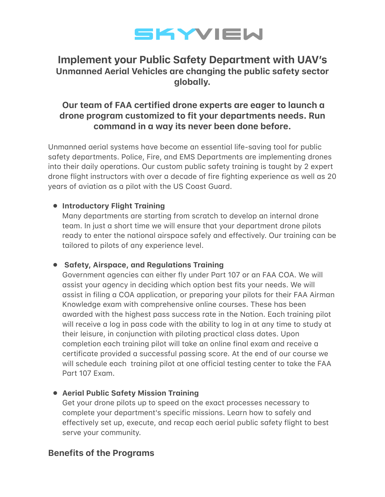

# **Implement your Public Safety Department with UAV's** Unmanned Aerial Vehicles are changing the public safety sector globally.

## Our team of FAA certified drone experts are eager to launch a drone program customized to fit your departments needs. Run command in a way its never been done before.

Unmanned aerial systems have become an essential life-saving tool for public safety departments. Police, Fire, and EMS Departments are implementing drones into their daily operations. Our custom public safety training is taught by 2 expert drone flight instructors with over a decade of fire fighting experience as well as 20 years of aviation as a pilot with the US Coast Guard.

## • Introductory Flight Training

Many departments are starting from scratch to develop an internal drone team. In just a short time we will ensure that your department drone pilots ready to enter the national airspace safely and effectively. Our training can be tailored to pilots of any experience level.

## • Safety, Airspace, and Regulations Training

Government agencies can either fly under Part 107 or an FAA COA. We will assist your agency in deciding which option best fits your needs. We will assist in filing a COA application, or preparing your pilots for their FAA Airman Knowledge exam with comprehensive online courses. These has been awarded with the highest pass success rate in the Nation. Each training pilot will receive a log in pass code with the ability to log in at any time to study at their leisure, in conjunction with piloting practical class dates. Upon completion each training pilot will take an online final exam and receive a certificate provided a successful passing score. At the end of our course we will schedule each training pilot at one official testing center to take the FAA Part 107 Exam.

#### • Aerial Public Safety Mission Training

Get your drone pilots up to speed on the exact processes necessary to complete your department's specific missions. Learn how to safely and effectively set up, execute, and recap each aerial public safety flight to best serve your community.

## **Benefits of the Programs**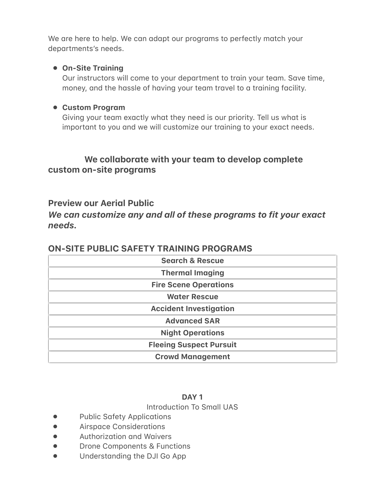We are here to help. We can adapt our programs to perfectly match your departments's needs.

## • On-Site Training

Our instructors will come to your department to train your team. Save time, money, and the hassle of having your team travel to a training facility.

## • Custom Program

Giving your team exactly what they need is our priority. Tell us what is important to you and we will customize our training to your exact needs.

## We collaborate with your team to develop complete custom on-site programs

## **Preview our Aerial Public**

We can customize any and all of these programs to fit your exact needs.

| <b>Search &amp; Rescue</b>     |
|--------------------------------|
| <b>Thermal Imaging</b>         |
| <b>Fire Scene Operations</b>   |
| <b>Water Rescue</b>            |
| <b>Accident Investigation</b>  |
| <b>Advanced SAR</b>            |
| <b>Night Operations</b>        |
| <b>Fleeing Suspect Pursuit</b> |
| <b>Crowd Management</b>        |

## **ON-SITE PUBLIC SAFETY TRAINING PROGRAMS**

#### DAY<sub>1</sub>

#### **Introduction To Small UAS**

- **Public Safety Applications**  $\bullet$
- **Airspace Considerations**  $\bullet$
- Authorization and Waivers  $\bullet$
- **Drone Components & Functions**  $\bullet$
- Understanding the DJI Go App  $\bullet$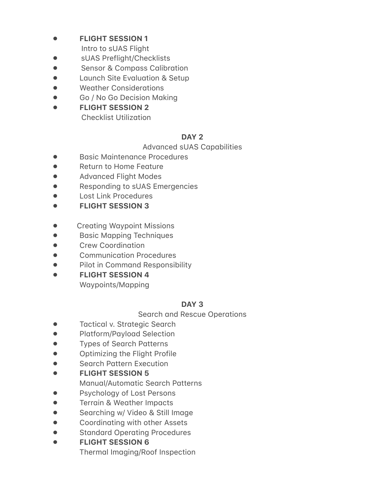- **FLIGHT SESSION 1**  $\bullet$ 
	- Intro to sUAS Flight
- sUAS Preflight/Checklists  $\bullet$
- **Sensor & Compass Calibration**  $\bullet$
- Launch Site Evaluation & Setup  $\bullet$
- **Weather Considerations**  $\bullet$
- Go / No Go Decision Makina  $\bullet$
- **FLIGHT SESSION 2**  $\bullet$ **Checklist Utilization**

## DAY<sub>2</sub>

#### **Advanced sUAS Capabilities**

- **Basic Maintenance Procedures**  $\bullet$
- Return to Home Feature  $\bullet$
- $\bullet$ **Advanced Flight Modes**
- Responding to sUAS Emergencies  $\bullet$
- **Lost Link Procedures**
- **FLIGHT SESSION 3**
- $\bullet$ **Creating Waypoint Missions**
- **Basic Mapping Techniques**  $\bullet$
- **Crew Coordination**  $\bullet$
- **Communication Procedures**  $\bullet$
- Pilot in Command Responsibility  $\bullet$
- **FLIGHT SESSION 4**  $\bullet$ Waypoints/Mapping

## DAY<sub>3</sub>

## **Search and Rescue Operations**

- $\bullet$ **Tactical v. Strategic Search**
- $\bullet$ **Platform/Payload Selection**
- **Types of Search Patterns**  $\bullet$
- Optimizing the Flight Profile  $\bullet$
- **Search Pattern Execution**  $\bullet$
- **FLIGHT SESSION 5**  $\bullet$ 
	- Manual/Automatic Search Patterns
- Psychology of Lost Persons
- $\bullet$ Terrain & Weather Impacts
- Searching w/ Video & Still Image  $\bullet$
- Coordinating with other Assets  $\bullet$
- **Standard Operating Procedures**  $\bullet$
- **FLIGHT SESSION 6**  $\bullet$ 
	- Thermal Imaging/Roof Inspection